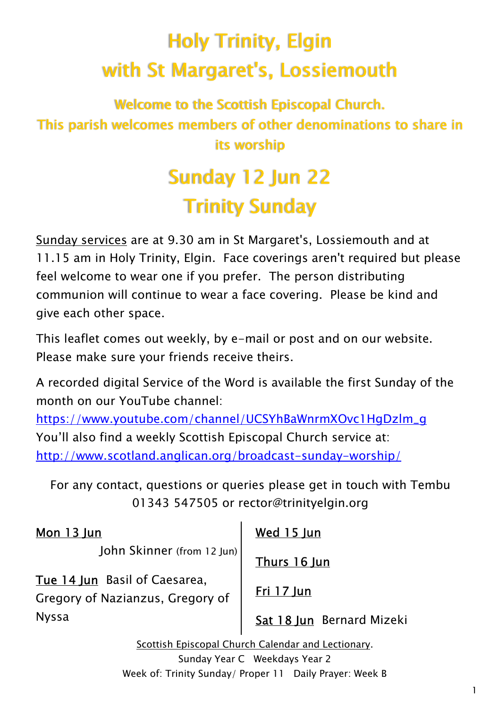# Holy Trinity, Elgin with St Margaret's, Lossiemouth

Welcome to the Scottish Episcopal Church. This parish welcomes members of other denominations to share in its worship

# Sunday 12 Jun 22 Trinity Sunday

Sunday services are at 9.30 am in St Margaret's, Lossiemouth and at 11.15 am in Holy Trinity, Elgin. Face coverings aren't required but please feel welcome to wear one if you prefer. The person distributing communion will continue to wear a face covering. Please be kind and give each other space.

This leaflet comes out weekly, by e-mail or post and on our website. Please make sure your friends receive theirs.

A recorded digital Service of the Word is available the first Sunday of the month on our YouTube channel:

https://www.youtube.com/channel/UCSYhBaWnrmXOvc1HgDzlm\_g You'll also find a weekly Scottish Episcopal Church service at: http://www.scotland.anglican.org/broadcast-sunday-worship/

For any contact, questions or queries please get in touch with Tembu 01343 547505 or rector@trinityelgin.org

#### Mon 13 Jun

John Skinner (from 12 Jun)

Tue 14 Iun Basil of Caesarea.

Gregory of Nazianzus, Gregory of Nyssa

## Wed 15 Jun

Thurs 16 Iun

Fri 17 Jun

Sat 18 Jun Bernard Mizeki

Scottish Episcopal Church Calendar and Lectionary. Sunday Year C Weekdays Year 2 Week of: Trinity Sunday/ Proper 11 Daily Prayer: Week B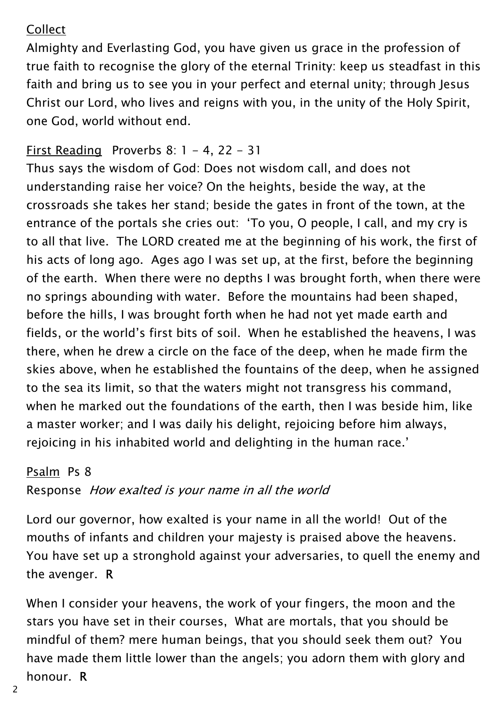### Collect

Almighty and Everlasting God, you have given us grace in the profession of true faith to recognise the glory of the eternal Trinity: keep us steadfast in this faith and bring us to see you in your perfect and eternal unity; through Jesus Christ our Lord, who lives and reigns with you, in the unity of the Holy Spirit, one God, world without end.

### First Reading Proverbs 8:  $1 - 4$ , 22 - 31

Thus says the wisdom of God: Does not wisdom call, and does not understanding raise her voice? On the heights, beside the way, at the crossroads she takes her stand; beside the gates in front of the town, at the entrance of the portals she cries out: 'To you, O people, I call, and my cry is to all that live. The LORD created me at the beginning of his work, the first of his acts of long ago. Ages ago I was set up, at the first, before the beginning of the earth. When there were no depths I was brought forth, when there were no springs abounding with water. Before the mountains had been shaped, before the hills, I was brought forth when he had not yet made earth and fields, or the world's first bits of soil. When he established the heavens, I was there, when he drew a circle on the face of the deep, when he made firm the skies above, when he established the fountains of the deep, when he assigned to the sea its limit, so that the waters might not transgress his command, when he marked out the foundations of the earth, then I was beside him, like a master worker; and I was daily his delight, rejoicing before him always, rejoicing in his inhabited world and delighting in the human race.'

#### Psalm Ps 8

Response How exalted is your name in all the world

Lord our governor, how exalted is your name in all the world! Out of the mouths of infants and children your majesty is praised above the heavens. You have set up a stronghold against your adversaries, to quell the enemy and the avenger. R

When I consider your heavens, the work of your fingers, the moon and the stars you have set in their courses, What are mortals, that you should be mindful of them? mere human beings, that you should seek them out? You have made them little lower than the angels; you adorn them with glory and honour. R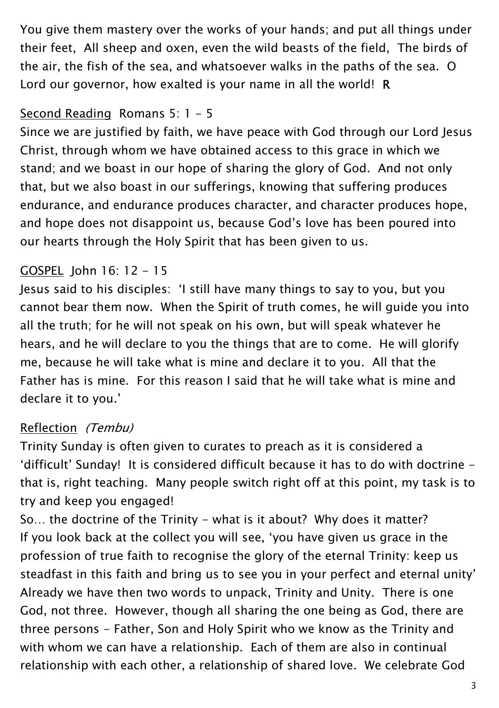You give them mastery over the works of your hands; and put all things under their feet, All sheep and oxen, even the wild beasts of the field, The birds of the air, the fish of the sea, and whatsoever walks in the paths of the sea. O Lord our governor, how exalted is your name in all the world! **R** 

## Second Reading Romans 5: 1 - 5

Since we are justified by faith, we have peace with God through our Lord Jesus Christ, through whom we have obtained access to this grace in which we stand; and we boast in our hope of sharing the glory of God. And not only that, but we also boast in our sufferings, knowing that suffering produces endurance, and endurance produces character, and character produces hope, and hope does not disappoint us, because God's love has been poured into our hearts through the Holy Spirit that has been given to us.

## GOSPEL John 16: 12 - 15

Jesus said to his disciples: 'I still have many things to say to you, but you cannot bear them now. When the Spirit of truth comes, he will guide you into all the truth; for he will not speak on his own, but will speak whatever he hears, and he will declare to you the things that are to come. He will glorify me, because he will take what is mine and declare it to you. All that the Father has is mine. For this reason I said that he will take what is mine and declare it to you.'

### Reflection (Tembu)

Trinity Sunday is often given to curates to preach as it is considered a 'difficult' Sunday! It is considered difficult because it has to do with doctrine that is, right teaching. Many people switch right off at this point, my task is to try and keep you engaged!

So... the doctrine of the Trinity - what is it about? Why does it matter? If you look back at the collect you will see, 'you have given us grace in the profession of true faith to recognise the glory of the eternal Trinity: keep us steadfast in this faith and bring us to see you in your perfect and eternal unity' Already we have then two words to unpack, Trinity and Unity. There is one God, not three. However, though all sharing the one being as God, there are three persons - Father, Son and Holy Spirit who we know as the Trinity and with whom we can have a relationship. Each of them are also in continual relationship with each other, a relationship of shared love. We celebrate God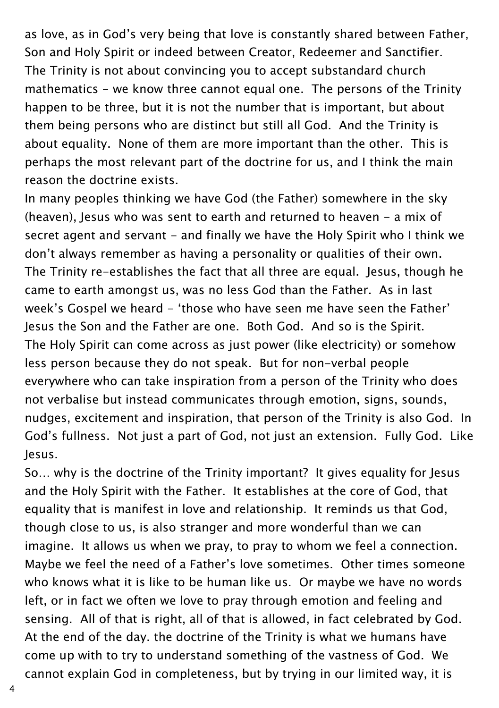as love, as in God's very being that love is constantly shared between Father, Son and Holy Spirit or indeed between Creator, Redeemer and Sanctifier. The Trinity is not about convincing you to accept substandard church mathematics - we know three cannot equal one. The persons of the Trinity happen to be three, but it is not the number that is important, but about them being persons who are distinct but still all God. And the Trinity is about equality. None of them are more important than the other. This is perhaps the most relevant part of the doctrine for us, and I think the main reason the doctrine exists.

In many peoples thinking we have God (the Father) somewhere in the sky (heaven), Jesus who was sent to earth and returned to heaven - a mix of secret agent and servant - and finally we have the Holy Spirit who I think we don't always remember as having a personality or qualities of their own. The Trinity re-establishes the fact that all three are equal. Jesus, though he came to earth amongst us, was no less God than the Father. As in last week's Gospel we heard - 'those who have seen me have seen the Father' Jesus the Son and the Father are one. Both God. And so is the Spirit. The Holy Spirit can come across as just power (like electricity) or somehow less person because they do not speak. But for non-verbal people everywhere who can take inspiration from a person of the Trinity who does not verbalise but instead communicates through emotion, signs, sounds, nudges, excitement and inspiration, that person of the Trinity is also God. In God's fullness. Not just a part of God, not just an extension. Fully God. Like Jesus.

So… why is the doctrine of the Trinity important? It gives equality for Jesus and the Holy Spirit with the Father. It establishes at the core of God, that equality that is manifest in love and relationship. It reminds us that God, though close to us, is also stranger and more wonderful than we can imagine. It allows us when we pray, to pray to whom we feel a connection. Maybe we feel the need of a Father's love sometimes. Other times someone who knows what it is like to be human like us. Or maybe we have no words left, or in fact we often we love to pray through emotion and feeling and sensing. All of that is right, all of that is allowed, in fact celebrated by God. At the end of the day. the doctrine of the Trinity is what we humans have come up with to try to understand something of the vastness of God. We cannot explain God in completeness, but by trying in our limited way, it is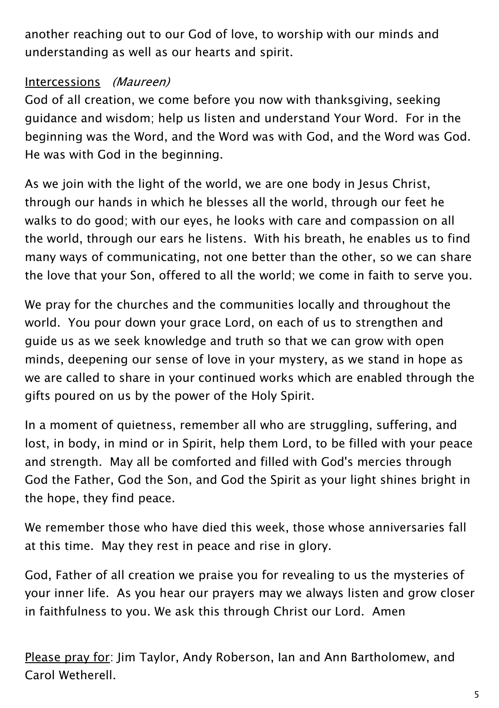another reaching out to our God of love, to worship with our minds and understanding as well as our hearts and spirit.

## Intercessions (Maureen)

God of all creation, we come before you now with thanksgiving, seeking guidance and wisdom; help us listen and understand Your Word. For in the beginning was the Word, and the Word was with God, and the Word was God. He was with God in the beginning.

As we join with the light of the world, we are one body in Jesus Christ, through our hands in which he blesses all the world, through our feet he walks to do good; with our eyes, he looks with care and compassion on all the world, through our ears he listens. With his breath, he enables us to find many ways of communicating, not one better than the other, so we can share the love that your Son, offered to all the world; we come in faith to serve you.

We pray for the churches and the communities locally and throughout the world. You pour down your grace Lord, on each of us to strengthen and guide us as we seek knowledge and truth so that we can grow with open minds, deepening our sense of love in your mystery, as we stand in hope as we are called to share in your continued works which are enabled through the gifts poured on us by the power of the Holy Spirit.

In a moment of quietness, remember all who are struggling, suffering, and lost, in body, in mind or in Spirit, help them Lord, to be filled with your peace and strength. May all be comforted and filled with God's mercies through God the Father, God the Son, and God the Spirit as your light shines bright in the hope, they find peace.

We remember those who have died this week, those whose anniversaries fall at this time. May they rest in peace and rise in glory.

God, Father of all creation we praise you for revealing to us the mysteries of your inner life. As you hear our prayers may we always listen and grow closer in faithfulness to you. We ask this through Christ our Lord. Amen

Please pray for: Jim Taylor, Andy Roberson, Ian and Ann Bartholomew, and Carol Wetherell.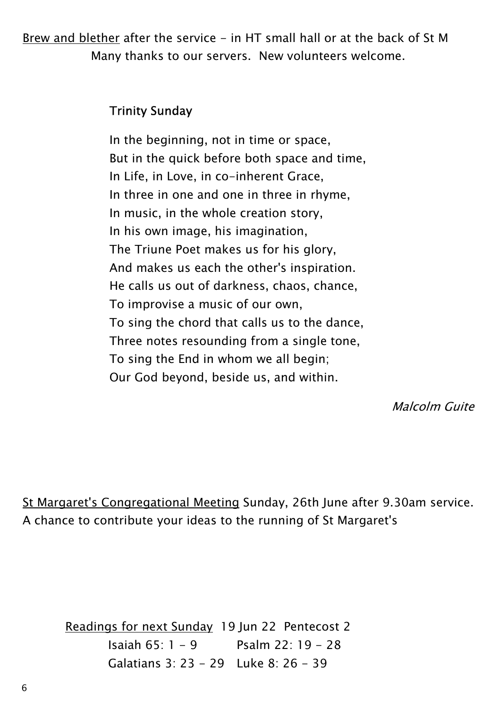Brew and blether after the service - in HT small hall or at the back of St M Many thanks to our servers. New volunteers welcome.

#### Trinity Sunday

In the beginning, not in time or space, But in the quick before both space and time, In Life, in Love, in co-inherent Grace, In three in one and one in three in rhyme, In music, in the whole creation story, In his own image, his imagination, The Triune Poet makes us for his glory, And makes us each the other's inspiration. He calls us out of darkness, chaos, chance, To improvise a music of our own, To sing the chord that calls us to the dance, Three notes resounding from a single tone, To sing the End in whom we all begin; Our God beyond, beside us, and within.

Malcolm Guite

St Margaret's Congregational Meeting Sunday, 26th June after 9.30am service. A chance to contribute your ideas to the running of St Margaret's

Readings for next Sunday 19 Jun 22 Pentecost 2 Isaiah 65: 1 - 9 Psalm 22: 19 - 28 Galatians 3: 23 - 29 Luke 8: 26 - 39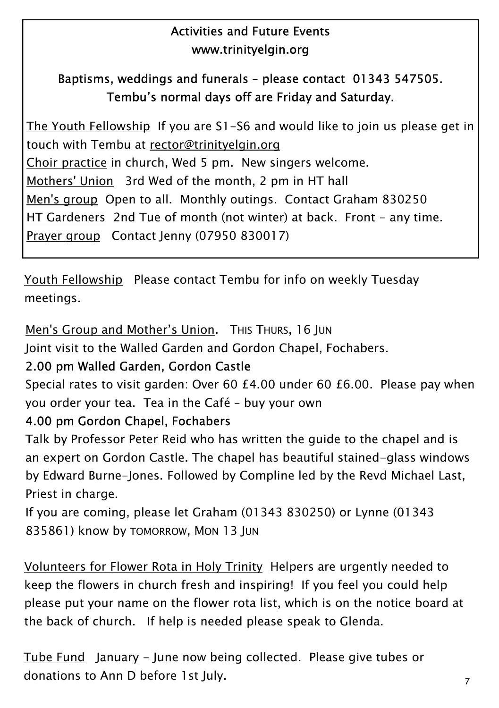## Activities and Future Events www.trinityelgin.org

## Baptisms, weddings and funerals – please contact 01343 547505. Tembu's normal days off are Friday and Saturday.

The Youth Fellowship If you are S1-S6 and would like to join us please get in touch with Tembu at rector@trinityelgin.org Choir practice in church, Wed 5 pm. New singers welcome. Mothers' Union 3rd Wed of the month, 2 pm in HT hall Men's group Open to all. Monthly outings. Contact Graham 830250 HT Gardeners 2nd Tue of month (not winter) at back. Front - any time. Prayer group Contact Jenny (07950 830017)

Youth Fellowship Please contact Tembu for info on weekly Tuesday meetings.

Men's Group and Mother's Union. THIS THURS, 16 JUN

Joint visit to the Walled Garden and Gordon Chapel, Fochabers.

## 2.00 pm Walled Garden, Gordon Castle

Special rates to visit garden: Over 60 £4.00 under 60 £6.00. Please pay when you order your tea. Tea in the Café – buy your own

## 4.00 pm Gordon Chapel, Fochabers

Talk by Professor Peter Reid who has written the guide to the chapel and is an expert on Gordon Castle. The chapel has beautiful stained-glass windows by Edward Burne-Jones. Followed by Compline led by the Revd Michael Last, Priest in charge.

If you are coming, please let Graham (01343 830250) or Lynne (01343 835861) know by TOMORROW, MON 13 JUN

Volunteers for Flower Rota in Holy Trinity Helpers are urgently needed to keep the flowers in church fresh and inspiring! If you feel you could help please put your name on the flower rota list, which is on the notice board at the back of church. If help is needed please speak to Glenda.

Tube Fund January - June now being collected. Please give tubes or donations to Ann D before 1st July.